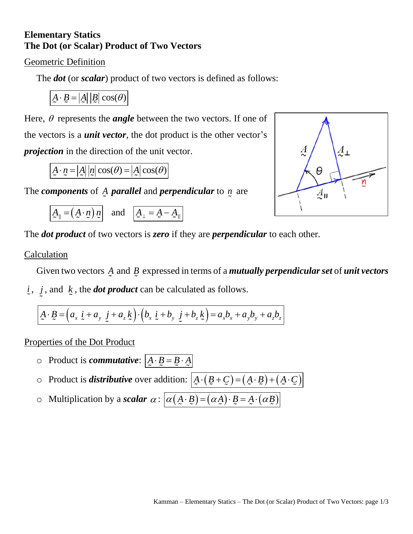## **Elementary Statics The Dot (or Scalar) Product of Two Vectors**

## Geometric Definition

The *dot* (or *scalar*) product of two vectors is defined as follows:

$$
\underline{A} \cdot \underline{B} = |\underline{A}| |\underline{B}| \cos(\theta)
$$

 $\frac{A}{2}$  $A_{\perp}$  $\theta$  $\frac{A}{2}$ II

Here,  $\theta$  represents the *angle* between the two vectors. If one of the vectors is a *unit vector*, the dot product is the other vector's *projection* in the direction of the unit vector.

 $A \cdot n = |A||n|\cos(\theta) = |A|\cos(\theta)$ 

The *components* of A *parallel* and *perpendicular* to *n* are

 $A_{\parallel} = (A \cdot n) n$  and  $A_{\perp} = A - A$ 

The *dot product* of two vectors is *zero* if they are *perpendicular* to each other.

## Calculation

Given two vectors *A* and *B* expressed in terms of a *mutually perpendicularset* of *unit vectors*

*i* , *j* , and *k* , the *dot product* can be calculated as follows.

 $A \cdot B = (a_x \, \dot{\iota} + a_y \, \dot{\jmath} + a_z \, \dot{\kappa}) \cdot (b_x \, \dot{\iota} + b_y \, \dot{\jmath} + b_z \, \dot{\kappa}) = a_x b_x + a_y b_y + a_z b_z$ 

Properties of the Dot Product

- $\circ$  Product is *commutative*:  $A \cdot B = B \cdot A$
- $\circ$  Product is *distributive* over addition:  $\boxed{A \cdot (B + C) = (A \cdot B) + (A \cdot C)}$
- o Multiplication by a *scalar*  $\alpha$ :  $\alpha(\underline{A} \cdot \underline{B}) = (\alpha \underline{A}) \cdot \underline{B} = \underline{A} \cdot (\alpha \underline{B})$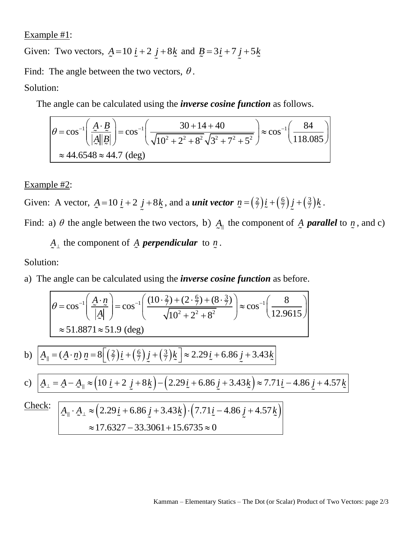Example #1:

Given: Two vectors,  $\underline{A} = 10 \underline{i} + 2 \underline{j} + 8 \underline{k}$  and  $\underline{B} = 3 \underline{i} + 7 \underline{j} + 5 \underline{k}$ 

Find: The angle between the two vectors,  $\theta$ .

Solution:

ution:  
\nThe angle can be calculated using the ***inverse cosine function*** as follows.  
\n
$$
\theta = \cos^{-1} \left( \frac{A \cdot B}{|A||B|} \right) = \cos^{-1} \left( \frac{30 + 14 + 40}{\sqrt{10^2 + 2^2 + 8^2} \sqrt{3^2 + 7^2 + 5^2}} \right) \approx \cos^{-1} \left( \frac{84}{118.085} \right)
$$
\n
$$
\approx 44.6548 \approx 44.7 \text{ (deg)}
$$

## Example #2:

Given: A vector,  $\underline{A} = 10 \underline{i} + 2 \underline{j} + 8 \underline{k}$ , and a *unit vector*  $\underline{n} = \left(\frac{2}{7}\right) \underline{i} + \left(\frac{6}{7}\right) \underline{j} + \left(\frac{3}{7}\right) \underline{k}$ .

Find: a)  $\theta$  the angle between the two vectors, b)  $A_{\parallel}$  the component of  $\Delta$  **parallel** to  $n$ , and c)

 $A_{\perp}$  the component of  $\overline{A}$  *perpendicular* to  $\overline{n}$ .

Solution:

a) The angle can be calculated using the *inverse cosine function* as before.

From the angle can be calculated using the *inverse cosine function* as before.

\n
$$
\theta = \cos^{-1}\left(\frac{A \cdot n}{|A|}\right) = \cos^{-1}\left(\frac{(10 \cdot \frac{2}{7}) + (2 \cdot \frac{6}{7}) + (8 \cdot \frac{3}{7})}{\sqrt{10^2 + 2^2 + 8^2}}\right) \approx \cos^{-1}\left(\frac{8}{12.9615}\right)
$$
\n
$$
\approx 51.8871 \approx 51.9 \text{ (deg)}
$$
\n
$$
A_{\parallel} = (A \cdot n) n = 8\left[\left(\frac{2}{7}\right)\cancel{i} + \left(\frac{6}{7}\right)\cancel{j} + \left(\frac{3}{7}\right)\cancel{k}\right] \approx 2.29 \cancel{i} + 6.86 \cancel{j} + 3.43 \cancel{k}
$$

$$
\approx 51.8871 \approx 51.9 \text{ (deg)}
$$
  
b) 
$$
A_{\parallel} = (A \cdot n) n = 8 \left[ \left( \frac{2}{7} \right) \dot{L} + \left( \frac{6}{7} \right) \dot{L} + \left( \frac{3}{7} \right) \dot{k} \right] \approx 2.29 \dot{L} + 6.86 \dot{L} + 3.43 \dot{k}
$$

b) 
$$
\boxed{A_{\parallel} = (A \cdot n) n = 8 \left[ \left( \frac{2}{7} \right) \dot{L} + \left( \frac{6}{7} \right) \dot{L} + \left( \frac{3}{7} \right) \dot{L} \right] \approx 2.29 \dot{L} + 6.86 \dot{L} + 3.43 \dot{L} \right]}
$$
  
c) 
$$
A_{\perp} = A - A_{\parallel} \approx \left( 10 \dot{L} + 2 \dot{L} + 8 \dot{L} \right) - \left( 2.29 \dot{L} + 6.86 \dot{L} + 3.43 \dot{L} \right) \approx 7.71 \dot{L} - 4.86 \dot{L} + 4.57 \dot{L}
$$

Check:

$$
\frac{1}{2} = \frac{A - A_{\parallel}}{2} \approx \left(10 \underline{i} + 2 \underline{j} + 8 \underline{k}\right) - \left(2.29 \underline{i} + 6.86 \underline{j} + 3.43 \underline{k}\right) \approx 7.71 \underline{i} - 1.21 \underline{k}
$$
\n
$$
\frac{A_{\parallel} \cdot A_{\perp}}{2} \approx \left(2.29 \underline{i} + 6.86 \underline{j} + 3.43 \underline{k}\right) \cdot \left(7.71 \underline{i} - 4.86 \underline{j} + 4.57 \underline{k}\right)
$$
\n
$$
\approx 17.6327 - 33.3061 + 15.6735 \approx 0
$$